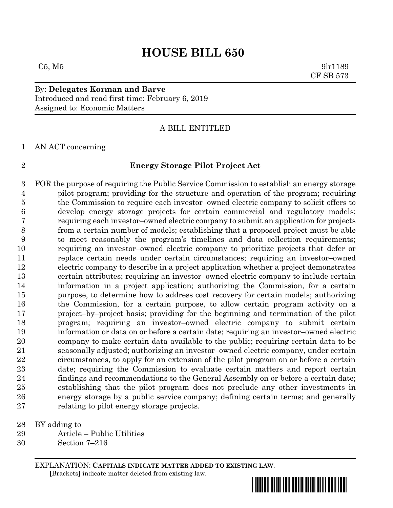# **HOUSE BILL 650**

 $C5, M5$  9lr1189 CF SB 573

## By: **Delegates Korman and Barve** Introduced and read first time: February 6, 2019 Assigned to: Economic Matters

### A BILL ENTITLED

AN ACT concerning

### **Energy Storage Pilot Project Act**

 FOR the purpose of requiring the Public Service Commission to establish an energy storage pilot program; providing for the structure and operation of the program; requiring the Commission to require each investor–owned electric company to solicit offers to develop energy storage projects for certain commercial and regulatory models; requiring each investor–owned electric company to submit an application for projects from a certain number of models; establishing that a proposed project must be able to meet reasonably the program's timelines and data collection requirements; requiring an investor–owned electric company to prioritize projects that defer or replace certain needs under certain circumstances; requiring an investor–owned electric company to describe in a project application whether a project demonstrates certain attributes; requiring an investor–owned electric company to include certain information in a project application; authorizing the Commission, for a certain purpose, to determine how to address cost recovery for certain models; authorizing the Commission, for a certain purpose, to allow certain program activity on a project–by–project basis; providing for the beginning and termination of the pilot program; requiring an investor–owned electric company to submit certain information or data on or before a certain date; requiring an investor–owned electric company to make certain data available to the public; requiring certain data to be seasonally adjusted; authorizing an investor–owned electric company, under certain circumstances, to apply for an extension of the pilot program on or before a certain date; requiring the Commission to evaluate certain matters and report certain findings and recommendations to the General Assembly on or before a certain date; establishing that the pilot program does not preclude any other investments in energy storage by a public service company; defining certain terms; and generally relating to pilot energy storage projects.

BY adding to

- Article Public Utilities
- Section 7–216

EXPLANATION: **CAPITALS INDICATE MATTER ADDED TO EXISTING LAW**.  **[**Brackets**]** indicate matter deleted from existing law.

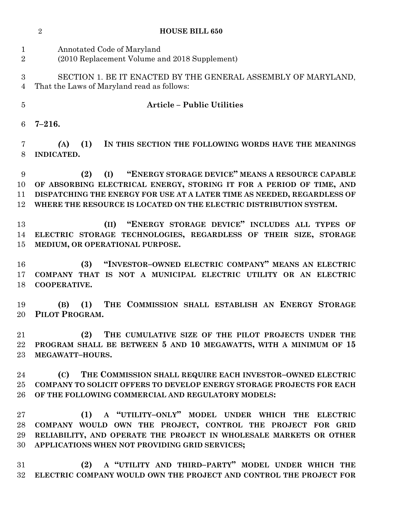|                               | $\overline{2}$<br><b>HOUSE BILL 650</b>                                                                                                                                                                                                                                                 |
|-------------------------------|-----------------------------------------------------------------------------------------------------------------------------------------------------------------------------------------------------------------------------------------------------------------------------------------|
| $\mathbf 1$<br>$\overline{2}$ | Annotated Code of Maryland<br>(2010 Replacement Volume and 2018 Supplement)                                                                                                                                                                                                             |
| 3<br>4                        | SECTION 1. BE IT ENACTED BY THE GENERAL ASSEMBLY OF MARYLAND,<br>That the Laws of Maryland read as follows:                                                                                                                                                                             |
| 5                             | <b>Article - Public Utilities</b>                                                                                                                                                                                                                                                       |
| 6                             | $7 - 216.$                                                                                                                                                                                                                                                                              |
| 7<br>8                        | (1)<br>IN THIS SECTION THE FOLLOWING WORDS HAVE THE MEANINGS<br>(A)<br><b>INDICATED.</b>                                                                                                                                                                                                |
| 9<br>10<br>11<br>12           | "ENERGY STORAGE DEVICE" MEANS A RESOURCE CAPABLE<br>(2)<br>(I)<br>OF ABSORBING ELECTRICAL ENERGY, STORING IT FOR A PERIOD OF TIME, AND<br>DISPATCHING THE ENERGY FOR USE AT A LATER TIME AS NEEDED, REGARDLESS OF<br>WHERE THE RESOURCE IS LOCATED ON THE ELECTRIC DISTRIBUTION SYSTEM. |
| 13<br>14<br>15                | "ENERGY STORAGE DEVICE" INCLUDES ALL TYPES OF<br>(II)<br>ELECTRIC STORAGE TECHNOLOGIES, REGARDLESS OF THEIR SIZE, STORAGE<br>MEDIUM, OR OPERATIONAL PURPOSE.                                                                                                                            |
| 16<br>17<br>18                | "INVESTOR-OWNED ELECTRIC COMPANY" MEANS AN ELECTRIC<br>(3)<br><b>COMPANY THAT</b><br>IS NOT A MUNICIPAL ELECTRIC UTILITY OR AN ELECTRIC<br><b>COOPERATIVE.</b>                                                                                                                          |
| 19<br>20                      | THE COMMISSION SHALL ESTABLISH AN ENERGY STORAGE<br>(B)<br>(1)<br>PILOT PROGRAM.                                                                                                                                                                                                        |
| 21<br>$22\,$<br>23            | THE CUMULATIVE SIZE OF THE PILOT PROJECTS UNDER THE<br>(2)<br>PROGRAM SHALL BE BETWEEN 5 AND 10 MEGAWATTS, WITH A MINIMUM OF 15<br>MEGAWATT-HOURS.                                                                                                                                      |
| 24<br>$25\,$<br>26            | (C) THE COMMISSION SHALL REQUIRE EACH INVESTOR-OWNED ELECTRIC<br><b>COMPANY TO SOLICIT OFFERS TO DEVELOP ENERGY STORAGE PROJECTS FOR EACH</b><br>OF THE FOLLOWING COMMERCIAL AND REGULATORY MODELS:                                                                                     |
| $27\,$<br>28<br>29<br>30      | A "UTILITY-ONLY" MODEL UNDER WHICH THE<br>(1)<br><b>ELECTRIC</b><br>COMPANY WOULD OWN THE PROJECT, CONTROL THE PROJECT FOR GRID<br>RELIABILITY, AND OPERATE THE PROJECT IN WHOLESALE MARKETS OR OTHER<br>APPLICATIONS WHEN NOT PROVIDING GRID SERVICES;                                 |
| 31<br>$32\,$                  | (2) A "UTILITY AND THIRD-PARTY" MODEL UNDER WHICH THE<br>ELECTRIC COMPANY WOULD OWN THE PROJECT AND CONTROL THE PROJECT FOR                                                                                                                                                             |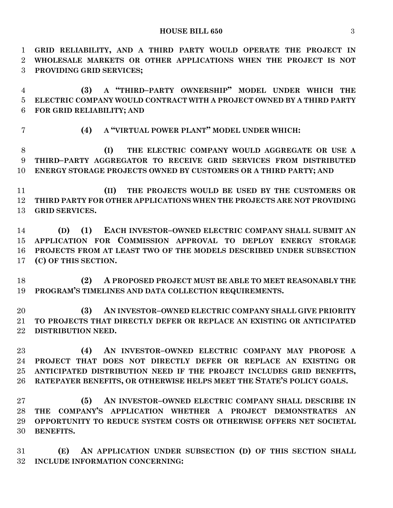**GRID RELIABILITY, AND A THIRD PARTY WOULD OPERATE THE PROJECT IN WHOLESALE MARKETS OR OTHER APPLICATIONS WHEN THE PROJECT IS NOT PROVIDING GRID SERVICES; (3) A "THIRD–PARTY OWNERSHIP" MODEL UNDER WHICH THE ELECTRIC COMPANY WOULD CONTRACT WITH A PROJECT OWNED BY A THIRD PARTY FOR GRID RELIABILITY; AND (4) A "VIRTUAL POWER PLANT" MODEL UNDER WHICH: (I) THE ELECTRIC COMPANY WOULD AGGREGATE OR USE A THIRD–PARTY AGGREGATOR TO RECEIVE GRID SERVICES FROM DISTRIBUTED ENERGY STORAGE PROJECTS OWNED BY CUSTOMERS OR A THIRD PARTY; AND (II) THE PROJECTS WOULD BE USED BY THE CUSTOMERS OR THIRD PARTY FOR OTHER APPLICATIONS WHEN THE PROJECTS ARE NOT PROVIDING GRID SERVICES. (D) (1) EACH INVESTOR–OWNED ELECTRIC COMPANY SHALL SUBMIT AN APPLICATION FOR COMMISSION APPROVAL TO DEPLOY ENERGY STORAGE PROJECTS FROM AT LEAST TWO OF THE MODELS DESCRIBED UNDER SUBSECTION (C) OF THIS SECTION. (2) A PROPOSED PROJECT MUST BE ABLE TO MEET REASONABLY THE PROGRAM'S TIMELINES AND DATA COLLECTION REQUIREMENTS. (3) AN INVESTOR–OWNED ELECTRIC COMPANY SHALL GIVE PRIORITY TO PROJECTS THAT DIRECTLY DEFER OR REPLACE AN EXISTING OR ANTICIPATED DISTRIBUTION NEED. (4) AN INVESTOR–OWNED ELECTRIC COMPANY MAY PROPOSE A PROJECT THAT DOES NOT DIRECTLY DEFER OR REPLACE AN EXISTING OR ANTICIPATED DISTRIBUTION NEED IF THE PROJECT INCLUDES GRID BENEFITS, RATEPAYER BENEFITS, OR OTHERWISE HELPS MEET THE STATE'S POLICY GOALS. (5) AN INVESTOR–OWNED ELECTRIC COMPANY SHALL DESCRIBE IN THE COMPANY'S APPLICATION WHETHER A PROJECT DEMONSTRATES AN OPPORTUNITY TO REDUCE SYSTEM COSTS OR OTHERWISE OFFERS NET SOCIETAL BENEFITS.**

 **(E) AN APPLICATION UNDER SUBSECTION (D) OF THIS SECTION SHALL INCLUDE INFORMATION CONCERNING:**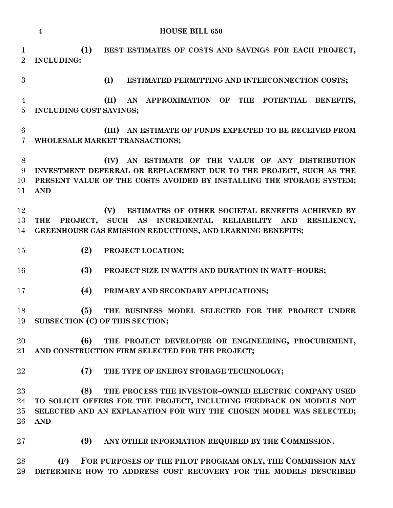|                                  | <b>HOUSE BILL 650</b><br>$\overline{4}$                                                                                                                                                                                |
|----------------------------------|------------------------------------------------------------------------------------------------------------------------------------------------------------------------------------------------------------------------|
| $\mathbf{1}$<br>$\overline{2}$   | (1)<br>BEST ESTIMATES OF COSTS AND SAVINGS FOR EACH PROJECT,<br><b>INCLUDING:</b>                                                                                                                                      |
| 3                                | (I)<br>ESTIMATED PERMITTING AND INTERCONNECTION COSTS;                                                                                                                                                                 |
| $\overline{4}$<br>$\overline{5}$ | (II)<br>AN APPROXIMATION OF THE POTENTIAL<br><b>BENEFITS,</b><br>INCLUDING COST SAVINGS;                                                                                                                               |
| $\,6$<br>$\overline{7}$          | AN ESTIMATE OF FUNDS EXPECTED TO BE RECEIVED FROM<br>(III)<br>WHOLESALE MARKET TRANSACTIONS;                                                                                                                           |
| 8<br>9<br>10<br>11               | AN ESTIMATE OF THE VALUE OF ANY DISTRIBUTION<br>(IV)<br>INVESTMENT DEFERRAL OR REPLACEMENT DUE TO THE PROJECT, SUCH AS THE<br>PRESENT VALUE OF THE COSTS AVOIDED BY INSTALLING THE STORAGE SYSTEM;<br><b>AND</b>       |
| 12<br>13<br>14                   | ESTIMATES OF OTHER SOCIETAL BENEFITS ACHIEVED BY<br>(V)<br>PROJECT, SUCH AS INCREMENTAL RELIABILITY AND<br><b>THE</b><br>RESILIENCY,<br>GREENHOUSE GAS EMISSION REDUCTIONS, AND LEARNING BENEFITS;                     |
| 15                               | (2)<br>PROJECT LOCATION;                                                                                                                                                                                               |
| 16                               | (3)<br>PROJECT SIZE IN WATTS AND DURATION IN WATT-HOURS;                                                                                                                                                               |
| 17                               | (4)<br>PRIMARY AND SECONDARY APPLICATIONS;                                                                                                                                                                             |
| 18<br>19                         | (5)<br>THE BUSINESS MODEL SELECTED FOR THE PROJECT UNDER<br>SUBSECTION (C) OF THIS SECTION;                                                                                                                            |
| 20<br>21                         | (6)<br>THE PROJECT DEVELOPER OR ENGINEERING, PROCUREMENT,<br>AND CONSTRUCTION FIRM SELECTED FOR THE PROJECT;                                                                                                           |
| 22                               | (7)<br>THE TYPE OF ENERGY STORAGE TECHNOLOGY;                                                                                                                                                                          |
| 23<br>24<br>25<br>26             | (8)<br>THE PROCESS THE INVESTOR-OWNED ELECTRIC COMPANY USED<br>TO SOLICIT OFFERS FOR THE PROJECT, INCLUDING FEEDBACK ON MODELS NOT<br>SELECTED AND AN EXPLANATION FOR WHY THE CHOSEN MODEL WAS SELECTED;<br><b>AND</b> |
| 27                               | ANY OTHER INFORMATION REQUIRED BY THE COMMISSION.<br>(9)                                                                                                                                                               |
| 28                               | FOR PURPOSES OF THE PILOT PROGRAM ONLY, THE COMMISSION MAY<br>(F)                                                                                                                                                      |

**DETERMINE HOW TO ADDRESS COST RECOVERY FOR THE MODELS DESCRIBED**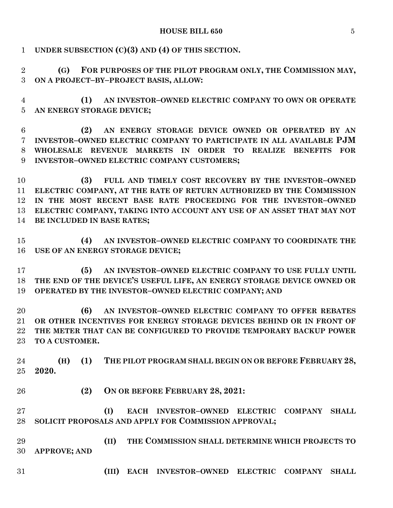| $\mathbf{1}$                     | UNDER SUBSECTION $(C)(3)$ AND $(4)$ OF THIS SECTION.                                                                                                                                                                                                                                                         |
|----------------------------------|--------------------------------------------------------------------------------------------------------------------------------------------------------------------------------------------------------------------------------------------------------------------------------------------------------------|
| $\overline{2}$<br>3              | FOR PURPOSES OF THE PILOT PROGRAM ONLY, THE COMMISSION MAY,<br>(G)<br>ON A PROJECT-BY-PROJECT BASIS, ALLOW:                                                                                                                                                                                                  |
| $\overline{4}$<br>$\overline{5}$ | AN INVESTOR-OWNED ELECTRIC COMPANY TO OWN OR OPERATE<br>(1)<br>AN ENERGY STORAGE DEVICE;                                                                                                                                                                                                                     |
| 6<br>$\overline{7}$<br>8<br>9    | AN ENERGY STORAGE DEVICE OWNED OR OPERATED BY AN<br>(2)<br>INVESTOR-OWNED ELECTRIC COMPANY TO PARTICIPATE IN ALL AVAILABLE PJM<br>WHOLESALE REVENUE MARKETS IN ORDER TO REALIZE BENEFITS FOR<br><b>INVESTOR-OWNED ELECTRIC COMPANY CUSTOMERS;</b>                                                            |
| 10<br>11<br>12<br>13<br>14       | FULL AND TIMELY COST RECOVERY BY THE INVESTOR-OWNED<br>(3)<br>ELECTRIC COMPANY, AT THE RATE OF RETURN AUTHORIZED BY THE COMMISSION<br>IN THE MOST RECENT BASE RATE PROCEEDING FOR THE INVESTOR-OWNED<br>ELECTRIC COMPANY, TAKING INTO ACCOUNT ANY USE OF AN ASSET THAT MAY NOT<br>BE INCLUDED IN BASE RATES; |
| 15<br>16                         | AN INVESTOR-OWNED ELECTRIC COMPANY TO COORDINATE THE<br>(4)<br>USE OF AN ENERGY STORAGE DEVICE;                                                                                                                                                                                                              |
| 17<br>18<br>19                   | AN INVESTOR-OWNED ELECTRIC COMPANY TO USE FULLY UNTIL<br>(5)<br>THE END OF THE DEVICE'S USEFUL LIFE, AN ENERGY STORAGE DEVICE OWNED OR<br>OPERATED BY THE INVESTOR-OWNED ELECTRIC COMPANY; AND                                                                                                               |
| 20<br>21<br>22<br>23             | AN INVESTOR-OWNED ELECTRIC COMPANY TO OFFER REBATES<br>(6)<br>OR OTHER INCENTIVES FOR ENERGY STORAGE DEVICES BEHIND OR IN FRONT OF<br>THE METER THAT CAN BE CONFIGURED TO PROVIDE TEMPORARY BACKUP POWER<br>TO A CUSTOMER.                                                                                   |
| 24<br>25                         | THE PILOT PROGRAM SHALL BEGIN ON OR BEFORE FEBRUARY 28,<br>(1)<br>(H)<br>2020.                                                                                                                                                                                                                               |
| 26                               | (2)<br>ON OR BEFORE FEBRUARY 28, 2021:                                                                                                                                                                                                                                                                       |
| 27<br>28                         | (I)<br>EACH INVESTOR-OWNED ELECTRIC COMPANY<br><b>SHALL</b><br>SOLICIT PROPOSALS AND APPLY FOR COMMISSION APPROVAL;                                                                                                                                                                                          |
| 29<br>30                         | (II)<br>THE COMMISSION SHALL DETERMINE WHICH PROJECTS TO<br><b>APPROVE; AND</b>                                                                                                                                                                                                                              |
| 31                               | (III)<br>EACH INVESTOR-OWNED ELECTRIC COMPANY SHALL                                                                                                                                                                                                                                                          |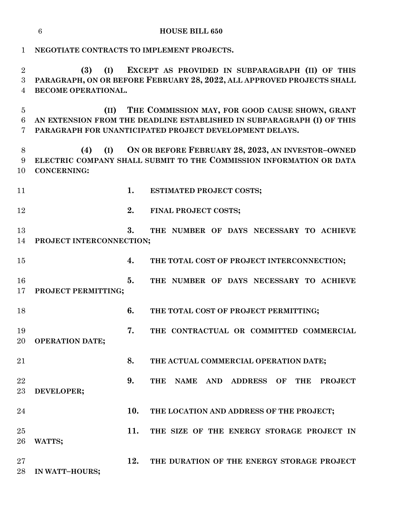|                          | $6\phantom{.}6$                                                                                                                                                                              |     | <b>HOUSE BILL 650</b>                                                                                                        |  |
|--------------------------|----------------------------------------------------------------------------------------------------------------------------------------------------------------------------------------------|-----|------------------------------------------------------------------------------------------------------------------------------|--|
| $\mathbf 1$              | NEGOTIATE CONTRACTS TO IMPLEMENT PROJECTS.                                                                                                                                                   |     |                                                                                                                              |  |
| $\overline{2}$<br>3<br>4 | (I)<br>(3)<br>BECOME OPERATIONAL.                                                                                                                                                            |     | EXCEPT AS PROVIDED IN SUBPARAGRAPH (II) OF THIS<br>PARAGRAPH, ON OR BEFORE FEBRUARY 28, 2022, ALL APPROVED PROJECTS SHALL    |  |
| $\overline{5}$<br>6<br>7 | THE COMMISSION MAY, FOR GOOD CAUSE SHOWN, GRANT<br>(II)<br>AN EXTENSION FROM THE DEADLINE ESTABLISHED IN SUBPARAGRAPH (I) OF THIS<br>PARAGRAPH FOR UNANTICIPATED PROJECT DEVELOPMENT DELAYS. |     |                                                                                                                              |  |
| 8<br>9<br>10             | (4)<br><b>CONCERNING:</b>                                                                                                                                                                    |     | (I) ON OR BEFORE FEBRUARY 28, 2023, AN INVESTOR-OWNED<br>ELECTRIC COMPANY SHALL SUBMIT TO THE COMMISSION INFORMATION OR DATA |  |
| 11                       |                                                                                                                                                                                              | 1.  | <b>ESTIMATED PROJECT COSTS;</b>                                                                                              |  |
| 12                       |                                                                                                                                                                                              | 2.  | FINAL PROJECT COSTS;                                                                                                         |  |
| 13<br>14                 | PROJECT INTERCONNECTION;                                                                                                                                                                     | 3.  | THE NUMBER OF DAYS NECESSARY TO ACHIEVE                                                                                      |  |
| 15                       |                                                                                                                                                                                              | 4.  | THE TOTAL COST OF PROJECT INTERCONNECTION;                                                                                   |  |
| 16<br>17                 | PROJECT PERMITTING;                                                                                                                                                                          | 5.  | THE NUMBER OF DAYS NECESSARY TO ACHIEVE                                                                                      |  |
| 18                       |                                                                                                                                                                                              | 6.  | THE TOTAL COST OF PROJECT PERMITTING;                                                                                        |  |
| 19<br>20                 | <b>OPERATION DATE;</b>                                                                                                                                                                       | 7.  | THE CONTRACTUAL OR COMMITTED COMMERCIAL                                                                                      |  |
| 21                       |                                                                                                                                                                                              | 8.  | THE ACTUAL COMMERCIAL OPERATION DATE;                                                                                        |  |
| 22<br>$23\,$             | DEVELOPER;                                                                                                                                                                                   | 9.  | NAME AND ADDRESS OF<br>THE<br>THE<br><b>PROJECT</b>                                                                          |  |
| 24                       |                                                                                                                                                                                              | 10. | THE LOCATION AND ADDRESS OF THE PROJECT;                                                                                     |  |
| 25<br>26                 | WATTS;                                                                                                                                                                                       | 11. | THE SIZE OF THE ENERGY STORAGE PROJECT IN                                                                                    |  |
| $27\,$<br>28             | IN WATT-HOURS;                                                                                                                                                                               | 12. | THE DURATION OF THE ENERGY STORAGE PROJECT                                                                                   |  |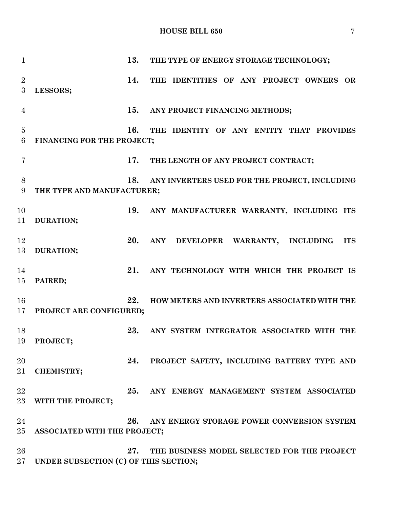**HOUSE BILL 650** 7

| $\mathbf{1}$            |                                       | 13. | THE TYPE OF ENERGY STORAGE TECHNOLOGY;                    |
|-------------------------|---------------------------------------|-----|-----------------------------------------------------------|
| $\overline{2}$<br>3     | LESSORS;                              | 14. | THE IDENTITIES OF ANY PROJECT OWNERS OR                   |
| $\overline{4}$          |                                       | 15. | ANY PROJECT FINANCING METHODS;                            |
| $\bf 5$<br>$\,6$        | FINANCING FOR THE PROJECT;            | 16. | THE IDENTITY OF ANY ENTITY THAT PROVIDES                  |
| $\overline{7}$          |                                       | 17. | THE LENGTH OF ANY PROJECT CONTRACT;                       |
| $8\,$<br>$9\phantom{.}$ | THE TYPE AND MANUFACTURER;            | 18. | ANY INVERTERS USED FOR THE PROJECT, INCLUDING             |
| 10<br>11                | DURATION;                             | 19. | ANY MANUFACTURER WARRANTY, INCLUDING ITS                  |
| 12<br>13                | DURATION;                             | 20. | DEVELOPER WARRANTY, INCLUDING<br><b>ANY</b><br><b>ITS</b> |
| 14<br>15                | PAIRED;                               | 21. | ANY TECHNOLOGY WITH WHICH THE PROJECT IS                  |
| 16<br>17                | PROJECT ARE CONFIGURED;               | 22. | HOW METERS AND INVERTERS ASSOCIATED WITH THE              |
| 18<br>19                | PROJECT;                              | 23. | ANY SYSTEM INTEGRATOR ASSOCIATED WITH THE                 |
| 20<br>21                | <b>CHEMISTRY;</b>                     | 24. | PROJECT SAFETY, INCLUDING BATTERY TYPE AND                |
| 22<br>23                | WITH THE PROJECT;                     | 25. | ANY ENERGY MANAGEMENT SYSTEM ASSOCIATED                   |
| 24<br>25                | ASSOCIATED WITH THE PROJECT;          | 26. | ANY ENERGY STORAGE POWER CONVERSION SYSTEM                |
| 26<br>27                | UNDER SUBSECTION (C) OF THIS SECTION; | 27. | THE BUSINESS MODEL SELECTED FOR THE PROJECT               |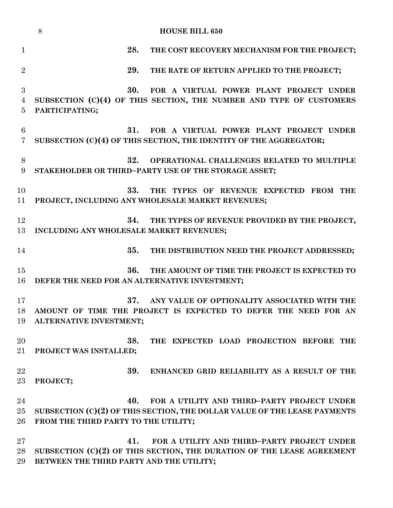|                                   | <b>HOUSE BILL 650</b><br>8                                                                                |
|-----------------------------------|-----------------------------------------------------------------------------------------------------------|
| $\mathbf{1}$                      | 28.<br>THE COST RECOVERY MECHANISM FOR THE PROJECT;                                                       |
| $\overline{2}$                    | 29.<br>THE RATE OF RETURN APPLIED TO THE PROJECT;                                                         |
| $\boldsymbol{3}$                  | 30.<br>FOR A VIRTUAL POWER PLANT PROJECT UNDER                                                            |
| $\overline{4}$<br>$\overline{5}$  | SUBSECTION (C)(4) OF THIS SECTION, THE NUMBER AND TYPE OF CUSTOMERS<br>PARTICIPATING;                     |
| $6\phantom{.}6$<br>$\overline{7}$ | 31.<br>FOR A VIRTUAL POWER PLANT PROJECT UNDER                                                            |
|                                   | SUBSECTION (C)(4) OF THIS SECTION, THE IDENTITY OF THE AGGREGATOR;                                        |
| 8<br>9                            | 32.<br>OPERATIONAL CHALLENGES RELATED TO MULTIPLE<br>STAKEHOLDER OR THIRD-PARTY USE OF THE STORAGE ASSET; |
| 10                                | 33.<br>THE TYPES OF REVENUE EXPECTED FROM THE                                                             |
| 11                                | PROJECT, INCLUDING ANY WHOLESALE MARKET REVENUES;                                                         |
| 12                                | 34.<br>THE TYPES OF REVENUE PROVIDED BY THE PROJECT,                                                      |
| 13                                | INCLUDING ANY WHOLESALE MARKET REVENUES;                                                                  |
| 14                                | 35.<br>THE DISTRIBUTION NEED THE PROJECT ADDRESSED;                                                       |
| 15                                | 36.<br>THE AMOUNT OF TIME THE PROJECT IS EXPECTED TO                                                      |
| 16                                | DEFER THE NEED FOR AN ALTERNATIVE INVESTMENT;                                                             |
| 17                                | 37.<br>ANY VALUE OF OPTIONALITY ASSOCIATED WITH THE                                                       |
| 18                                | AMOUNT OF TIME THE PROJECT IS EXPECTED TO DEFER THE NEED FOR AN                                           |
| 19                                | ALTERNATIVE INVESTMENT;                                                                                   |
| 20                                | 38.<br>THE EXPECTED LOAD PROJECTION BEFORE THE                                                            |
| 21                                | PROJECT WAS INSTALLED;                                                                                    |
| 22                                | 39.<br>ENHANCED GRID RELIABILITY AS A RESULT OF THE                                                       |
| 23                                | PROJECT;                                                                                                  |
| 24                                | 40.<br>FOR A UTILITY AND THIRD-PARTY PROJECT UNDER                                                        |
| 25                                | SUBSECTION (C)(2) OF THIS SECTION, THE DOLLAR VALUE OF THE LEASE PAYMENTS                                 |
| 26                                | FROM THE THIRD PARTY TO THE UTILITY;                                                                      |
| $27\,$                            | 41.<br>FOR A UTILITY AND THIRD-PARTY PROJECT UNDER                                                        |
| 28                                | SUBSECTION $(C)(2)$ OF THIS SECTION, THE DURATION OF THE LEASE AGREEMENT                                  |
| 29                                | BETWEEN THE THIRD PARTY AND THE UTILITY;                                                                  |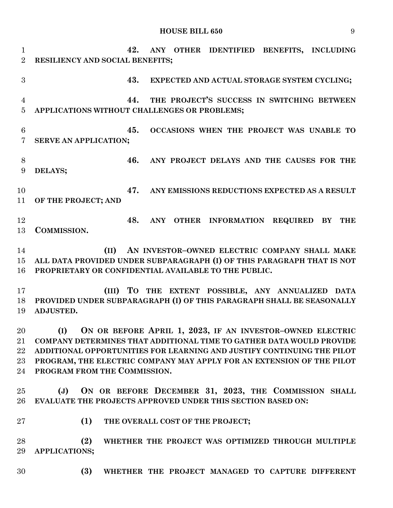### **HOUSE BILL 650** 9

 **42. ANY OTHER IDENTIFIED BENEFITS, INCLUDING RESILIENCY AND SOCIAL BENEFITS; 43. EXPECTED AND ACTUAL STORAGE SYSTEM CYCLING; 44. THE PROJECT'S SUCCESS IN SWITCHING BETWEEN APPLICATIONS WITHOUT CHALLENGES OR PROBLEMS; 45. OCCASIONS WHEN THE PROJECT WAS UNABLE TO SERVE AN APPLICATION; 46. ANY PROJECT DELAYS AND THE CAUSES FOR THE DELAYS; 47. ANY EMISSIONS REDUCTIONS EXPECTED AS A RESULT OF THE PROJECT; AND 48. ANY OTHER INFORMATION REQUIRED BY THE COMMISSION. (II) AN INVESTOR–OWNED ELECTRIC COMPANY SHALL MAKE ALL DATA PROVIDED UNDER SUBPARAGRAPH (I) OF THIS PARAGRAPH THAT IS NOT PROPRIETARY OR CONFIDENTIAL AVAILABLE TO THE PUBLIC. (III) TO THE EXTENT POSSIBLE, ANY ANNUALIZED DATA PROVIDED UNDER SUBPARAGRAPH (I) OF THIS PARAGRAPH SHALL BE SEASONALLY ADJUSTED. (I) ON OR BEFORE APRIL 1, 2023, IF AN INVESTOR–OWNED ELECTRIC COMPANY DETERMINES THAT ADDITIONAL TIME TO GATHER DATA WOULD PROVIDE ADDITIONAL OPPORTUNITIES FOR LEARNING AND JUSTIFY CONTINUING THE PILOT PROGRAM, THE ELECTRIC COMPANY MAY APPLY FOR AN EXTENSION OF THE PILOT PROGRAM FROM THE COMMISSION. (J) ON OR BEFORE DECEMBER 31, 2023, THE COMMISSION SHALL EVALUATE THE PROJECTS APPROVED UNDER THIS SECTION BASED ON: (1) THE OVERALL COST OF THE PROJECT; (2) WHETHER THE PROJECT WAS OPTIMIZED THROUGH MULTIPLE APPLICATIONS; (3) WHETHER THE PROJECT MANAGED TO CAPTURE DIFFERENT**